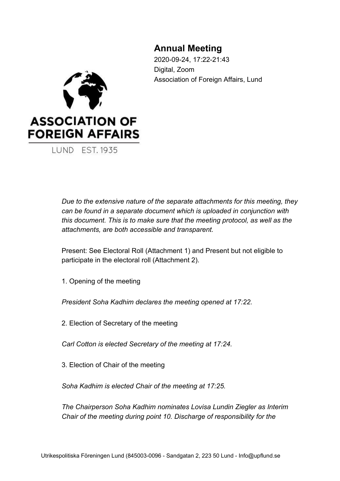## **Annual Meeting**

2020-09-24, 17:22-21:43 Digital, Zoom Association of Foreign Affairs, Lund



**LUND EST. 1935** 

*Due to the extensive nature of the separate attachments for this meeting, they can be found in a separate document which is uploaded in conjunction with this document. This is to make sure that the meeting protocol, as well as the attachments, are both accessible and transparent.*

Present: See Electoral Roll (Attachment 1) and Present but not eligible to participate in the electoral roll (Attachment 2).

1. Opening of the meeting

*President Soha Kadhim declares the meeting opened at 17:22.*

2. Election of Secretary of the meeting

*Carl Cotton is elected Secretary of the meeting at 17:24.*

3. Election of Chair of the meeting

*Soha Kadhim is elected Chair of the meeting at 17:25.*

*The Chairperson Soha Kadhim nominates Lovisa Lundin Ziegler as Interim Chair of the meeting during point 10. Discharge of responsibility for the*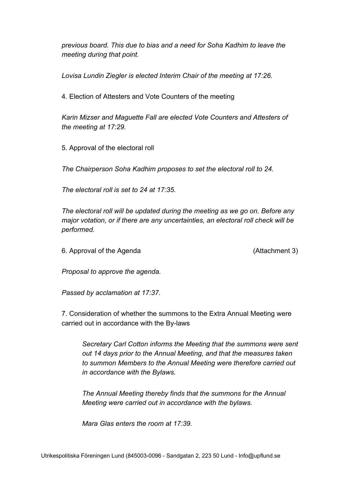*previous board. This due to bias and a need for Soha Kadhim to leave the meeting during that point.*

*Lovisa Lundin Ziegler is elected Interim Chair of the meeting at 17:26.*

4. Election of Attesters and Vote Counters of the meeting

*Karin Mizser and Maguette Fall are elected Vote Counters and Attesters of the meeting at 17:29.*

5. Approval of the electoral roll

*The Chairperson Soha Kadhim proposes to set the electoral roll to 24.*

*The electoral roll is set to 24 at 17:35.*

*The electoral roll will be updated during the meeting as we go on. Before any major votation, or if there are any uncertainties, an electoral roll check will be performed.*

6. Approval of the Agenda (Attachment 3)

*Proposal to approve the agenda.*

*Passed by acclamation at 17:37.*

7. Consideration of whether the summons to the Extra Annual Meeting were carried out in accordance with the By-laws

*Secretary Carl Cotton informs the Meeting that the summons were sent out 14 days prior to the Annual Meeting, and that the measures taken to summon Members to the Annual Meeting were therefore carried out in accordance with the Bylaws.*

*The Annual Meeting thereby finds that the summons for the Annual Meeting were carried out in accordance with the bylaws.*

*Mara Glas enters the room at 17:39.*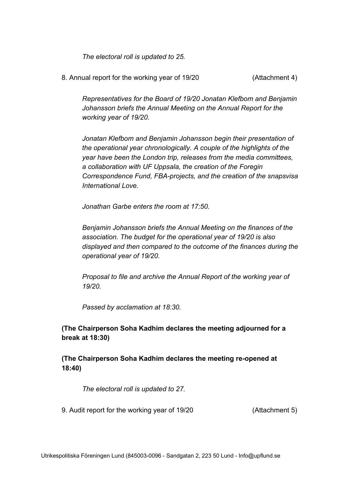*The electoral roll is updated to 25.*

8. Annual report for the working year of 19/20 (Attachment 4)

*Representatives for the Board of 19/20 Jonatan Klefbom and Benjamin Johansson briefs the Annual Meeting on the Annual Report for the working year of 19/20.*

*Jonatan Klefbom and Benjamin Johansson begin their presentation of the operational year chronologically. A couple of the highlights of the year have been the London trip, releases from the media committees, a collaboration with UF Uppsala, the creation of the Foregin Correspondence Fund, FBA-projects, and the creation of the snapsvisa International Love.*

*Jonathan Garbe enters the room at 17:50.*

*Benjamin Johansson briefs the Annual Meeting on the finances of the association. The budget for the operational year of 19/20 is also displayed and then compared to the outcome of the finances during the operational year of 19/20.*

*Proposal to file and archive the Annual Report of the working year of 19/20.*

*Passed by acclamation at 18:30.*

**(The Chairperson Soha Kadhim declares the meeting adjourned for a break at 18:30)**

**(The Chairperson Soha Kadhim declares the meeting re-opened at 18:40)**

*The electoral roll is updated to 27.*

9. Audit report for the working year of 19/20 (Attachment 5)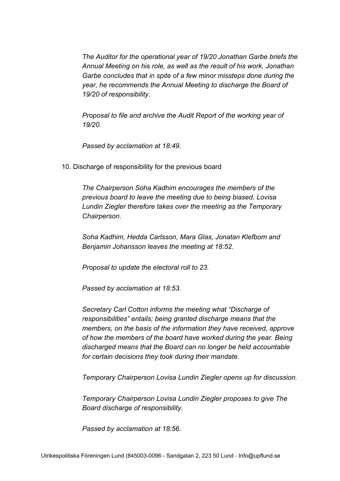*The Auditor for the operational year of 19/20 Jonathan Garbe briefs the Annual Meeting on his role, as well as the result of his work. Jonathan Garbe concludes that in spite of a few minor missteps done during the year, he recommends the Annual Meeting to discharge the Board of 19/20 of responsibility.*

*Proposal to file and archive the Audit Report of the working year of 19/20.*

*Passed by acclamation at 18:49.*

10. Discharge of responsibility for the previous board

*The Chairperson Soha Kadhim encourages the members of the previous board to leave the meeting due to being biased. Lovisa Lundin Ziegler therefore takes over the meeting as the Temporary Chairperson.*

*Soha Kadhim, Hedda Carlsson, Mara Glas, Jonatan Klefbom and Benjamin Johansson leaves the meeting at 18:52.*

*Proposal to update the electoral roll to 23.*

*Passed by acclamation at 18:53.*

*Secretary Carl Cotton informs the meeting what "Discharge of responsibilities" entails; being granted discharge means that the members, on the basis of the information they have received, approve of how the members of the board have worked during the year. Being discharged means that the Board can no longer be held accountable for certain decisions they took during their mandate.*

*Temporary Chairperson Lovisa Lundin Ziegler opens up for discussion.*

*Temporary Chairperson Lovisa Lundin Ziegler proposes to give The Board discharge of responsibility.*

*Passed by acclamation at 18:56.*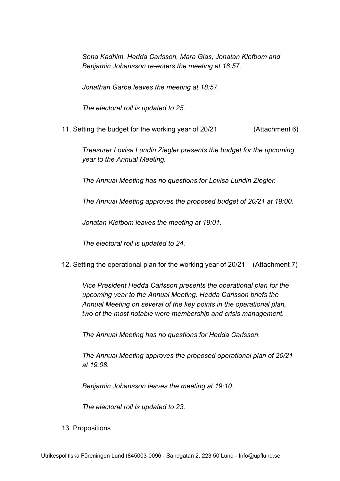*Soha Kadhim, Hedda Carlsson, Mara Glas, Jonatan Klefbom and Benjamin Johansson re-enters the meeting at 18:57.*

*Jonathan Garbe leaves the meeting at 18:57.*

*The electoral roll is updated to 25.*

11. Setting the budget for the working year of 20/21 (Attachment 6)

*Treasurer Lovisa Lundin Ziegler presents the budget for the upcoming year to the Annual Meeting.*

*The Annual Meeting has no questions for Lovisa Lundin Ziegler.*

*The Annual Meeting approves the proposed budget of 20/21 at 19:00.*

*Jonatan Klefbom leaves the meeting at 19:01.*

*The electoral roll is updated to 24.*

12. Setting the operational plan for the working year of 20/21 (Attachment 7)

*Vice President Hedda Carlsson presents the operational plan for the upcoming year to the Annual Meeting. Hedda Carlsson briefs the Annual Meeting on several of the key points in the operational plan, two of the most notable were membership and crisis management.*

*The Annual Meeting has no questions for Hedda Carlsson.*

*The Annual Meeting approves the proposed operational plan of 20/21 at 19:08.*

*Benjamin Johansson leaves the meeting at 19:10.*

*The electoral roll is updated to 23.*

13. Propositions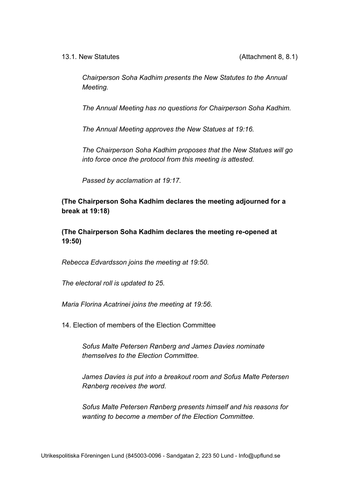*Chairperson Soha Kadhim presents the New Statutes to the Annual Meeting.*

*The Annual Meeting has no questions for Chairperson Soha Kadhim.*

*The Annual Meeting approves the New Statues at 19:16.*

*The Chairperson Soha Kadhim proposes that the New Statues will go into force once the protocol from this meeting is attested.*

*Passed by acclamation at 19:17.*

**(The Chairperson Soha Kadhim declares the meeting adjourned for a break at 19:18)**

**(The Chairperson Soha Kadhim declares the meeting re-opened at 19:50)**

*Rebecca Edvardsson joins the meeting at 19:50.*

*The electoral roll is updated to 25.*

*Maria Florina Acatrinei joins the meeting at 19:56.*

14. Election of members of the Election Committee

*Sofus Malte Petersen Rønberg and James Davies nominate themselves to the Election Committee.*

*James Davies is put into a breakout room and Sofus Malte Petersen Rønberg receives the word.*

*Sofus Malte Petersen Rønberg presents himself and his reasons for wanting to become a member of the Election Committee.*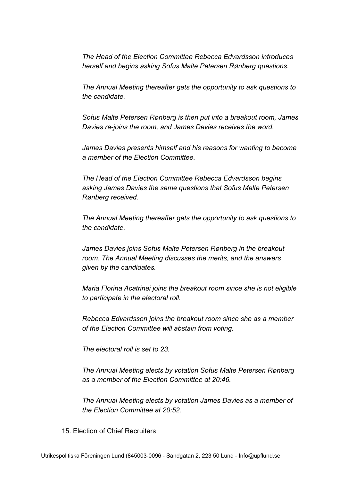*The Head of the Election Committee Rebecca Edvardsson introduces herself and begins asking Sofus Malte Petersen Rønberg questions.*

*The Annual Meeting thereafter gets the opportunity to ask questions to the candidate.*

*Sofus Malte Petersen Rønberg is then put into a breakout room, James Davies re-joins the room, and James Davies receives the word.*

*James Davies presents himself and his reasons for wanting to become a member of the Election Committee.*

*The Head of the Election Committee Rebecca Edvardsson begins asking James Davies the same questions that Sofus Malte Petersen Rønberg received.*

*The Annual Meeting thereafter gets the opportunity to ask questions to the candidate.*

*James Davies joins Sofus Malte Petersen Rønberg in the breakout room. The Annual Meeting discusses the merits, and the answers given by the candidates.*

*Maria Florina Acatrinei joins the breakout room since she is not eligible to participate in the electoral roll.*

*Rebecca Edvardsson joins the breakout room since she as a member of the Election Committee will abstain from voting.*

*The electoral roll is set to 23.*

*The Annual Meeting elects by votation Sofus Malte Petersen Rønberg as a member of the Election Committee at 20:46.*

*The Annual Meeting elects by votation James Davies as a member of the Election Committee at 20:52.*

15. Election of Chief Recruiters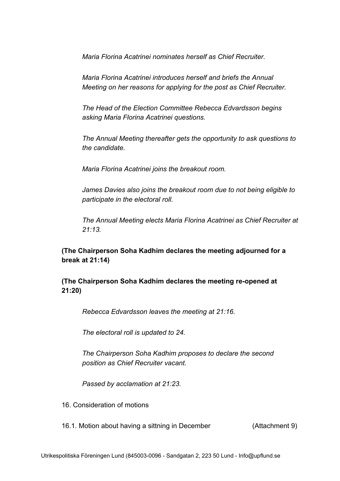*Maria Florina Acatrinei nominates herself as Chief Recruiter.*

*Maria Florina Acatrinei introduces herself and briefs the Annual Meeting on her reasons for applying for the post as Chief Recruiter.*

*The Head of the Election Committee Rebecca Edvardsson begins asking Maria Florina Acatrinei questions.*

*The Annual Meeting thereafter gets the opportunity to ask questions to the candidate.*

*Maria Florina Acatrinei joins the breakout room.*

*James Davies also joins the breakout room due to not being eligible to participate in the electoral roll.*

*The Annual Meeting elects Maria Florina Acatrinei as Chief Recruiter at 21:13.*

**(The Chairperson Soha Kadhim declares the meeting adjourned for a break at 21:14)**

**(The Chairperson Soha Kadhim declares the meeting re-opened at 21:20)**

*Rebecca Edvardsson leaves the meeting at 21:16.*

*The electoral roll is updated to 24.*

*The Chairperson Soha Kadhim proposes to declare the second position as Chief Recruiter vacant.*

*Passed by acclamation at 21:23.*

16. Consideration of motions

16.1. Motion about having a sittning in December (Attachment 9)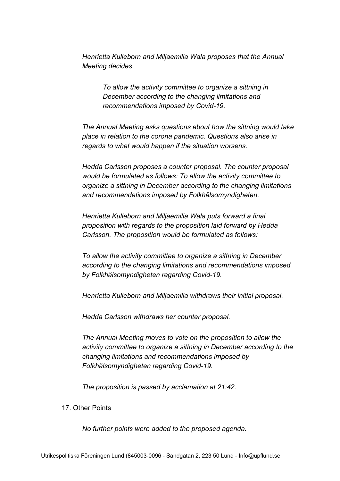*Henrietta Kulleborn and Miljaemilia Wala proposes that the Annual Meeting decides*

> *To allow the activity committee to organize a sittning in December according to the changing limitations and recommendations imposed by Covid-19.*

*The Annual Meeting asks questions about how the sittning would take place in relation to the corona pandemic. Questions also arise in regards to what would happen if the situation worsens.*

*Hedda Carlsson proposes a counter proposal. The counter proposal would be formulated as follows: To allow the activity committee to organize a sittning in December according to the changing limitations and recommendations imposed by Folkhälsomyndigheten.*

*Henrietta Kulleborn and Miljaemilia Wala puts forward a final proposition with regards to the proposition laid forward by Hedda Carlsson. The proposition would be formulated as follows:*

*To allow the activity committee to organize a sittning in December according to the changing limitations and recommendations imposed by Folkhälsomyndigheten regarding Covid-19.*

*Henrietta Kulleborn and Miljaemilia withdraws their initial proposal.*

*Hedda Carlsson withdraws her counter proposal.*

*The Annual Meeting moves to vote on the proposition to allow the activity committee to organize a sittning in December according to the changing limitations and recommendations imposed by Folkhälsomyndigheten regarding Covid-19.*

*The proposition is passed by acclamation at 21:42.*

## 17. Other Points

*No further points were added to the proposed agenda.*